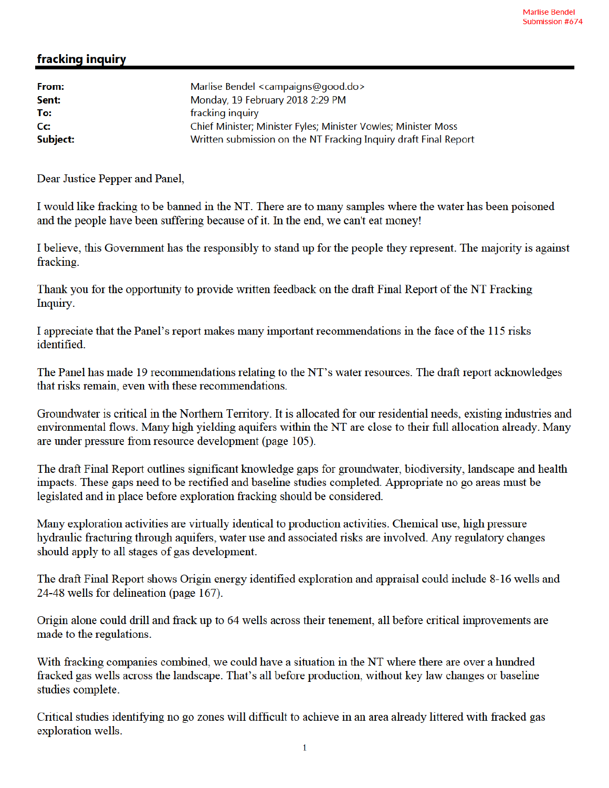## fracking inquiry

| From:    | Marlise Bendel <campaigns@good.do></campaigns@good.do>           |
|----------|------------------------------------------------------------------|
| Sent:    | Monday, 19 February 2018 2:29 PM                                 |
| To:      | fracking inquiry                                                 |
| Cc:      | Chief Minister; Minister Fyles; Minister Vowles; Minister Moss   |
| Subject: | Written submission on the NT Fracking Inquiry draft Final Report |

Dear Justice Pepper and Panel,

I would like fracking to be banned in the NT. There are to many samples where the water has been poisoned and the people have been suffering because of it. In the end, we can't eat money!

I believe, this Government has the responsibly to stand up for the people they represent. The majority is against fracking.

Thank you for the opportunity to provide written feedback on the draft Final Report of the NT Fracking Inquiry.

I appreciate that the Panel's report makes many important recommendations in the face of the 115 risks identified.

The Panel has made 19 recommendations relating to the NT's water resources. The draft report acknowledges that risks remain, even with these recommendations.

Groundwater is critical in the Northern Territory. It is allocated for our residential needs, existing industries and environmental flows. Many high yielding aquifers within the NT are close to their full allocation already. Many are under pressure from resource development (page 105).

The draft Final Report outlines significant knowledge gaps for groundwater, biodiversity, landscape and health impacts. These gaps need to be rectified and baseline studies completed. Appropriate no go areas must be legislated and in place before exploration fracking should be considered.

Many exploration activities are virtually identical to production activities. Chemical use, high pressure hydraulic fracturing through aquifers, water use and associated risks are involved. Any regulatory changes should apply to all stages of gas development.

The draft Final Report shows Origin energy identified exploration and appraisal could include 8-16 wells and 24-48 wells for delineation (page 167).

Origin alone could drill and frack up to 64 wells across their tenement, all before critical improvements are made to the regulations.

With fracking companies combined, we could have a situation in the NT where there are over a hundred fracked gas wells across the landscape. That's all before production, without key law changes or baseline studies complete.

Critical studies identifying no go zones will difficult to achieve in an area already littered with fracked gas exploration wells.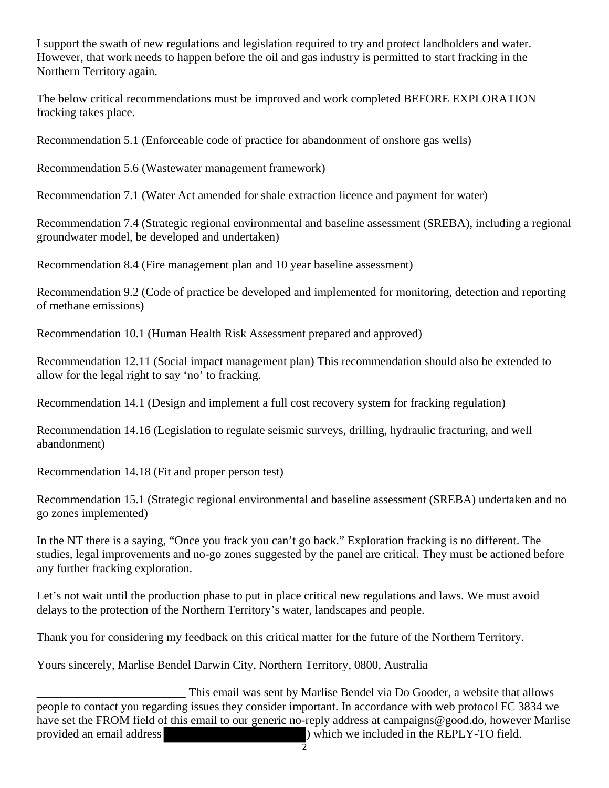I support the swath of new regulations and legislation required to try and protect landholders and water. However, that work needs to happen before the oil and gas industry is permitted to start fracking in the Northern Territory again.

The below critical recommendations must be improved and work completed BEFORE EXPLORATION fracking takes place.

Recommendation 5.1 (Enforceable code of practice for abandonment of onshore gas wells)

Recommendation 5.6 (Wastewater management framework)

Recommendation 7.1 (Water Act amended for shale extraction licence and payment for water)

Recommendation 7.4 (Strategic regional environmental and baseline assessment (SREBA), including a regional groundwater model, be developed and undertaken)

Recommendation 8.4 (Fire management plan and 10 year baseline assessment)

Recommendation 9.2 (Code of practice be developed and implemented for monitoring, detection and reporting of methane emissions)

Recommendation 10.1 (Human Health Risk Assessment prepared and approved)

Recommendation 12.11 (Social impact management plan) This recommendation should also be extended to allow for the legal right to say 'no' to fracking.

Recommendation 14.1 (Design and implement a full cost recovery system for fracking regulation)

Recommendation 14.16 (Legislation to regulate seismic surveys, drilling, hydraulic fracturing, and well abandonment)

Recommendation 14.18 (Fit and proper person test)

Recommendation 15.1 (Strategic regional environmental and baseline assessment (SREBA) undertaken and no go zones implemented)

In the NT there is a saying, "Once you frack you can't go back." Exploration fracking is no different. The studies, legal improvements and no-go zones suggested by the panel are critical. They must be actioned before any further fracking exploration.

Let's not wait until the production phase to put in place critical new regulations and laws. We must avoid delays to the protection of the Northern Territory's water, landscapes and people.

Thank you for considering my feedback on this critical matter for the future of the Northern Territory.

Yours sincerely, Marlise Bendel Darwin City, Northern Territory, 0800, Australia

This email was sent by Marlise Bendel via Do Gooder, a website that allows people to contact you regarding issues they consider important. In accordance with web protocol FC 3834 we have set the FROM field of this email to our generic no-reply address at campaigns@good.do, however Marlise provided an email address ) which we included in the REPLY-TO field.